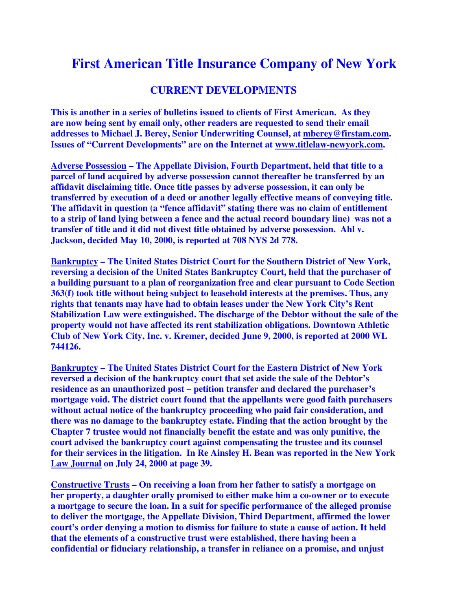## **First American Title Insurance Company of New York**

## **CURRENT DEVELOPMENTS**

**This is another in a series of bulletins issued to clients of First American. As they are now being sent by email only, other readers are requested to send their email addresses to Michael J. Berey, Senior Underwriting Counsel, at mberey@firstam.com. Issues of "Current Developments" are on the Internet at www.titlelaw-newyork.com.** 

**Adverse Possession – The Appellate Division, Fourth Department, held that title to a parcel of land acquired by adverse possession cannot thereafter be transferred by an affidavit disclaiming title. Once title passes by adverse possession, it can only be transferred by execution of a deed or another legally effective means of conveying title. The affidavit in question (a "fence affidavit" stating there was no claim of entitlement to a strip of land lying between a fence and the actual record boundary line) was not a transfer of title and it did not divest title obtained by adverse possession. Ahl v. Jackson, decided May 10, 2000, is reported at 708 NYS 2d 778.** 

**Bankruptcy – The United States District Court for the Southern District of New York, reversing a decision of the United States Bankruptcy Court, held that the purchaser of a building pursuant to a plan of reorganization free and clear pursuant to Code Section 363(f) took title without being subject to leasehold interests at the premises. Thus, any rights that tenants may have had to obtain leases under the New York City's Rent Stabilization Law were extinguished. The discharge of the Debtor without the sale of the property would not have affected its rent stabilization obligations. Downtown Athletic Club of New York City, Inc. v. Kremer, decided June 9, 2000, is reported at 2000 WL 744126.** 

**Bankruptcy – The United States District Court for the Eastern District of New York reversed a decision of the bankruptcy court that set aside the sale of the Debtor's residence as an unauthorized post – petition transfer and declared the purchaser's mortgage void. The district court found that the appellants were good faith purchasers without actual notice of the bankruptcy proceeding who paid fair consideration, and there was no damage to the bankruptcy estate. Finding that the action brought by the Chapter 7 trustee would not financially benefit the estate and was only punitive, the court advised the bankruptcy court against compensating the trustee and its counsel for their services in the litigation. In Re Ainsley H. Bean was reported in the New York Law Journal on July 24, 2000 at page 39.** 

**Constructive Trusts – On receiving a loan from her father to satisfy a mortgage on her property, a daughter orally promised to either make him a co-owner or to execute a mortgage to secure the loan. In a suit for specific performance of the alleged promise to deliver the mortgage, the Appellate Division, Third Department, affirmed the lower court's order denying a motion to dismiss for failure to state a cause of action. It held that the elements of a constructive trust were established, there having been a confidential or fiduciary relationship, a transfer in reliance on a promise, and unjust**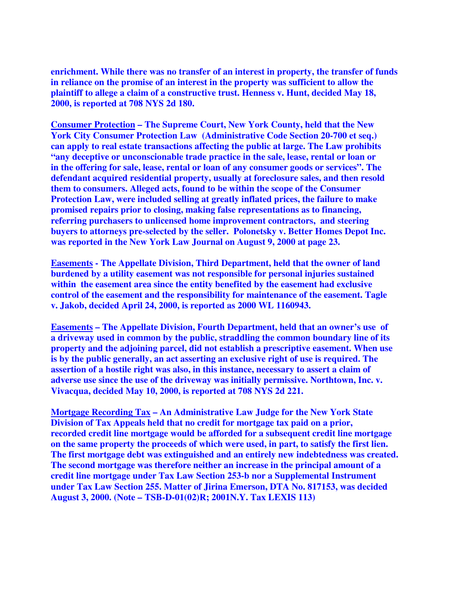**enrichment. While there was no transfer of an interest in property, the transfer of funds in reliance on the promise of an interest in the property was sufficient to allow the plaintiff to allege a claim of a constructive trust. Henness v. Hunt, decided May 18, 2000, is reported at 708 NYS 2d 180.** 

**Consumer Protection – The Supreme Court, New York County, held that the New York City Consumer Protection Law (Administrative Code Section 20-700 et seq.) can apply to real estate transactions affecting the public at large. The Law prohibits "any deceptive or unconscionable trade practice in the sale, lease, rental or loan or in the offering for sale, lease, rental or loan of any consumer goods or services". The defendant acquired residential property, usually at foreclosure sales, and then resold them to consumers. Alleged acts, found to be within the scope of the Consumer Protection Law, were included selling at greatly inflated prices, the failure to make promised repairs prior to closing, making false representations as to financing, referring purchasers to unlicensed home improvement contractors, and steering buyers to attorneys pre-selected by the seller. Polonetsky v. Better Homes Depot Inc. was reported in the New York Law Journal on August 9, 2000 at page 23.** 

**Easements - The Appellate Division, Third Department, held that the owner of land burdened by a utility easement was not responsible for personal injuries sustained within the easement area since the entity benefited by the easement had exclusive control of the easement and the responsibility for maintenance of the easement. Tagle v. Jakob, decided April 24, 2000, is reported as 2000 WL 1160943.** 

**Easements – The Appellate Division, Fourth Department, held that an owner's use of a driveway used in common by the public, straddling the common boundary line of its property and the adjoining parcel, did not establish a prescriptive easement. When use is by the public generally, an act asserting an exclusive right of use is required. The assertion of a hostile right was also, in this instance, necessary to assert a claim of adverse use since the use of the driveway was initially permissive. Northtown, Inc. v. Vivacqua, decided May 10, 2000, is reported at 708 NYS 2d 221.** 

**Mortgage Recording Tax – An Administrative Law Judge for the New York State Division of Tax Appeals held that no credit for mortgage tax paid on a prior, recorded credit line mortgage would be afforded for a subsequent credit line mortgage on the same property the proceeds of which were used, in part, to satisfy the first lien. The first mortgage debt was extinguished and an entirely new indebtedness was created. The second mortgage was therefore neither an increase in the principal amount of a credit line mortgage under Tax Law Section 253-b nor a Supplemental Instrument under Tax Law Section 255. Matter of Jirina Emerson, DTA No. 817153, was decided August 3, 2000. (Note – TSB-D-01(02)R; 2001N.Y. Tax LEXIS 113)**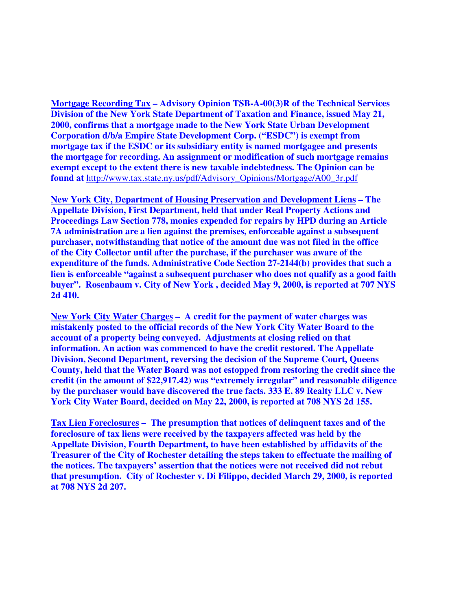**Mortgage Recording Tax – Advisory Opinion TSB-A-00(3)R of the Technical Services Division of the New York State Department of Taxation and Finance, issued May 21, 2000, confirms that a mortgage made to the New York State Urban Development Corporation d/b/a Empire State Development Corp. ("ESDC") is exempt from mortgage tax if the ESDC or its subsidiary entity is named mortgagee and presents the mortgage for recording. An assignment or modification of such mortgage remains exempt except to the extent there is new taxable indebtedness. The Opinion can be found at** http://www.tax.state.ny.us/pdf/Advisory\_Opinions/Mortgage/A00\_3r.pdf

**New York City, Department of Housing Preservation and Development Liens – The Appellate Division, First Department, held that under Real Property Actions and Proceedings Law Section 778, monies expended for repairs by HPD during an Article 7A administration are a lien against the premises, enforceable against a subsequent purchaser, notwithstanding that notice of the amount due was not filed in the office of the City Collector until after the purchase, if the purchaser was aware of the expenditure of the funds. Administrative Code Section 27-2144(b) provides that such a lien is enforceable "against a subsequent purchaser who does not qualify as a good faith buyer". Rosenbaum v. City of New York , decided May 9, 2000, is reported at 707 NYS 2d 410.** 

**New York City Water Charges – A credit for the payment of water charges was mistakenly posted to the official records of the New York City Water Board to the account of a property being conveyed. Adjustments at closing relied on that information. An action was commenced to have the credit restored. The Appellate Division, Second Department, reversing the decision of the Supreme Court, Queens County, held that the Water Board was not estopped from restoring the credit since the credit (in the amount of \$22,917.42) was "extremely irregular" and reasonable diligence by the purchaser would have discovered the true facts. 333 E. 89 Realty LLC v. New York City Water Board, decided on May 22, 2000, is reported at 708 NYS 2d 155.** 

**Tax Lien Foreclosures – The presumption that notices of delinquent taxes and of the foreclosure of tax liens were received by the taxpayers affected was held by the Appellate Division, Fourth Department, to have been established by affidavits of the Treasurer of the City of Rochester detailing the steps taken to effectuate the mailing of the notices. The taxpayers' assertion that the notices were not received did not rebut that presumption. City of Rochester v. Di Filippo, decided March 29, 2000, is reported at 708 NYS 2d 207.**